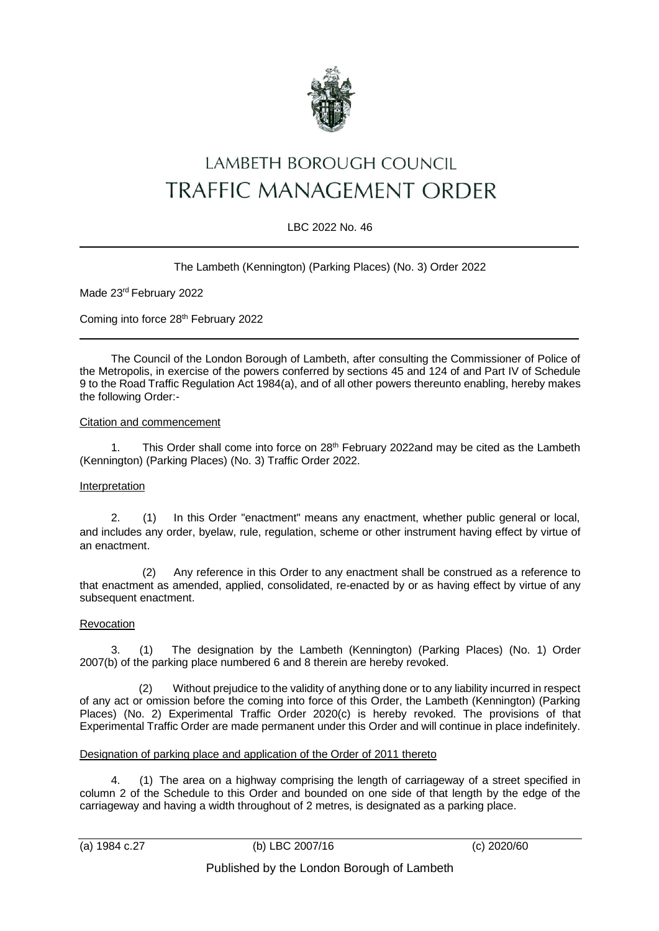

# LAMBETH BOROUGH COUNCIL TRAFFIC MANAGEMENT ORDER

## LBC 2022 No. 46

## The Lambeth (Kennington) (Parking Places) (No. 3) Order 2022

Made 23rd February 2022

Coming into force 28<sup>th</sup> February 2022

The Council of the London Borough of Lambeth, after consulting the Commissioner of Police of the Metropolis, in exercise of the powers conferred by sections 45 and 124 of and Part IV of Schedule 9 to the Road Traffic Regulation Act 1984(a), and of all other powers thereunto enabling, hereby makes the following Order:-

#### Citation and commencement

1. This Order shall come into force on 28<sup>th</sup> February 2022and may be cited as the Lambeth (Kennington) (Parking Places) (No. 3) Traffic Order 2022.

#### Interpretation

2. (1) In this Order "enactment" means any enactment, whether public general or local, and includes any order, byelaw, rule, regulation, scheme or other instrument having effect by virtue of an enactment.

(2) Any reference in this Order to any enactment shall be construed as a reference to that enactment as amended, applied, consolidated, re-enacted by or as having effect by virtue of any subsequent enactment.

#### Revocation

3. (1) The designation by the Lambeth (Kennington) (Parking Places) (No. 1) Order 2007(b) of the parking place numbered 6 and 8 therein are hereby revoked.

 (2) Without prejudice to the validity of anything done or to any liability incurred in respect of any act or omission before the coming into force of this Order, the Lambeth (Kennington) (Parking Places) (No. 2) Experimental Traffic Order 2020(c) is hereby revoked. The provisions of that Experimental Traffic Order are made permanent under this Order and will continue in place indefinitely.

#### Designation of parking place and application of the Order of 2011 thereto

4. (1) The area on a highway comprising the length of carriageway of a street specified in column 2 of the Schedule to this Order and bounded on one side of that length by the edge of the carriageway and having a width throughout of 2 metres, is designated as a parking place.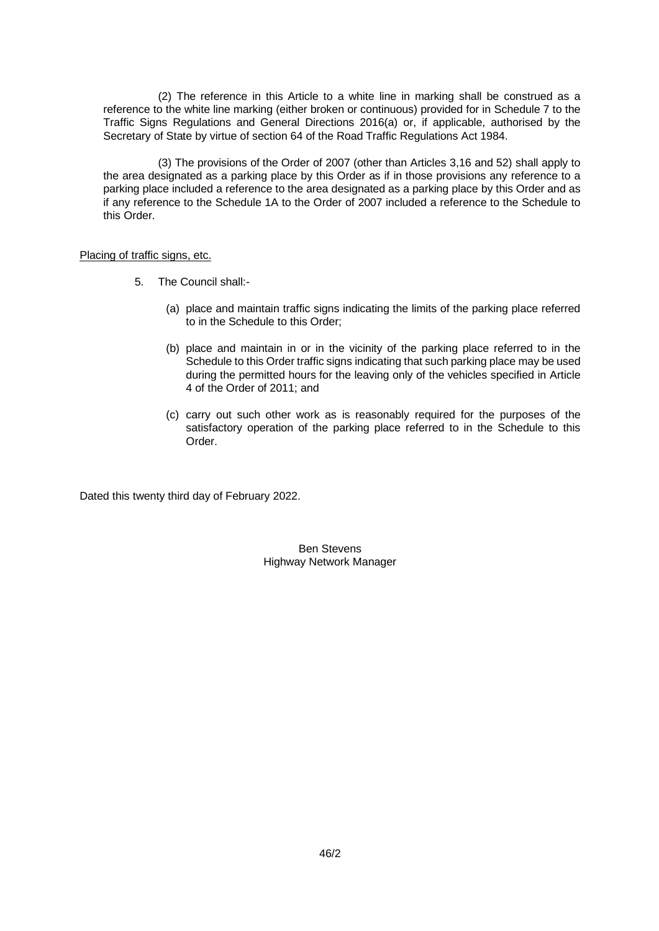(2) The reference in this Article to a white line in marking shall be construed as a reference to the white line marking (either broken or continuous) provided for in Schedule 7 to the Traffic Signs Regulations and General Directions 2016(a) or, if applicable, authorised by the Secretary of State by virtue of section 64 of the Road Traffic Regulations Act 1984.

(3) The provisions of the Order of 2007 (other than Articles 3,16 and 52) shall apply to the area designated as a parking place by this Order as if in those provisions any reference to a parking place included a reference to the area designated as a parking place by this Order and as if any reference to the Schedule 1A to the Order of 2007 included a reference to the Schedule to this Order.

Placing of traffic signs, etc.

- 5. The Council shall:-
	- (a) place and maintain traffic signs indicating the limits of the parking place referred to in the Schedule to this Order;
	- (b) place and maintain in or in the vicinity of the parking place referred to in the Schedule to this Order traffic signs indicating that such parking place may be used during the permitted hours for the leaving only of the vehicles specified in Article 4 of the Order of 2011; and
	- (c) carry out such other work as is reasonably required for the purposes of the satisfactory operation of the parking place referred to in the Schedule to this Order.

Dated this twenty third day of February 2022.

Ben Stevens Highway Network Manager